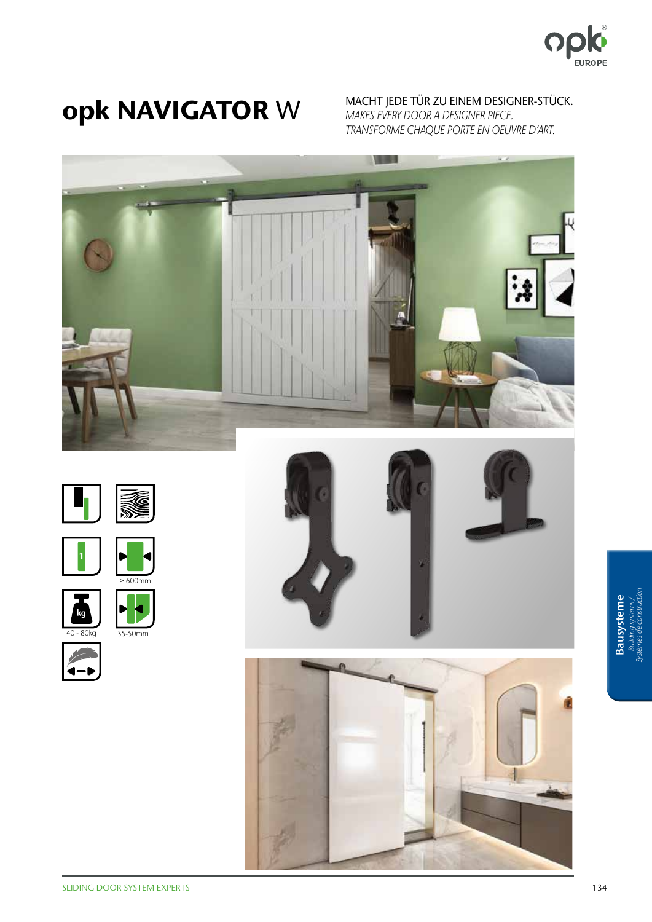

Opk NAVIGATOR W MACHT JEDE TÜR ZU EINEM DESIGNER-STÜCK. *MAKES EVERY DOOR A DESIGNER PIECE. TRANSFORME CHAQUE PORTE EN OEUVRE D'ART.*









35-50mm







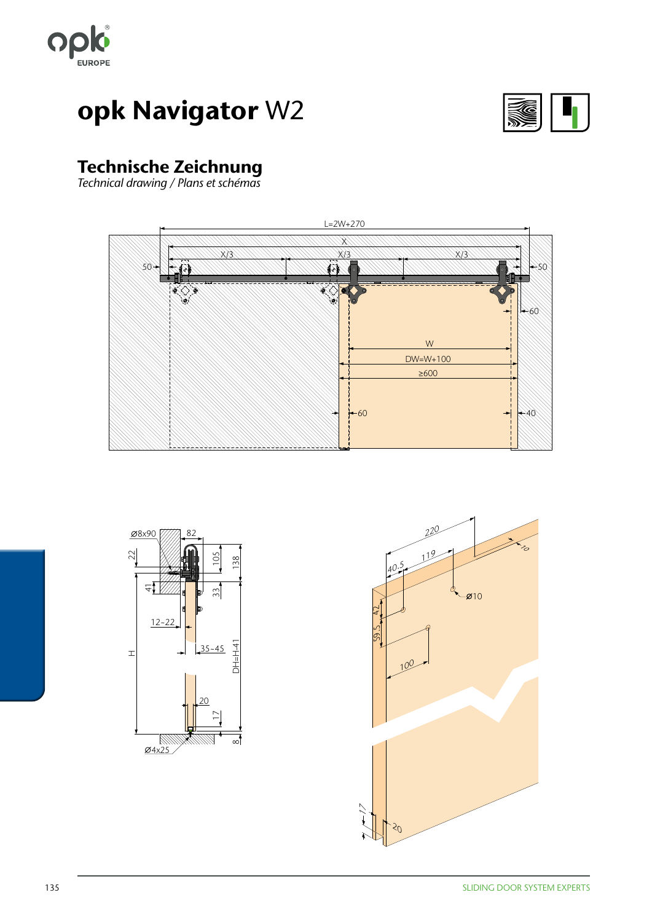



### Technische Zeichnung

*Technical drawing / Plans et schémas*





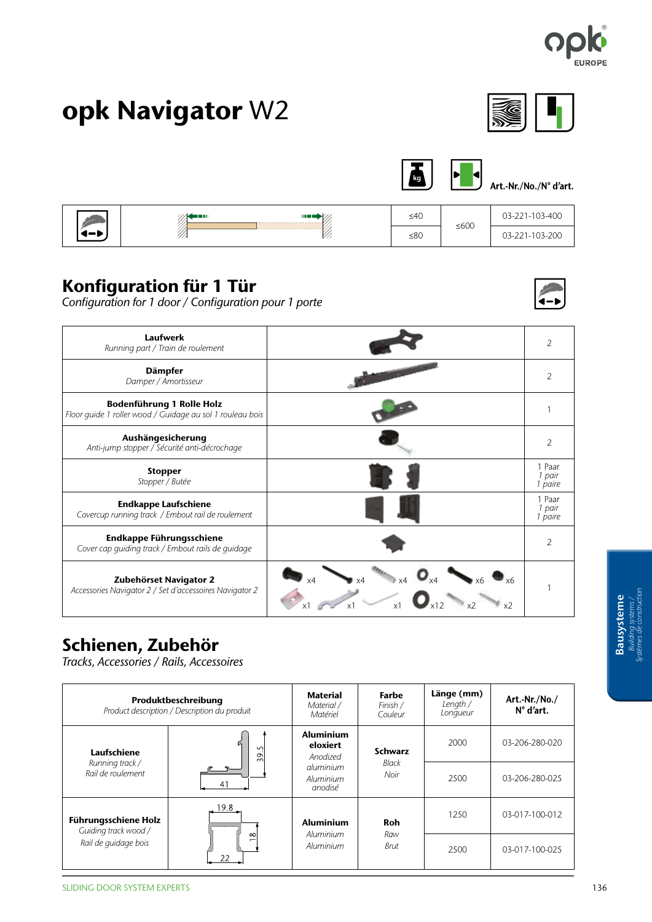





Art.-Nr./No./N° d'art.

|       | <b>THE R</b><br>des en sur | ≤40       | $≤600$ | 03-221-103-400 |
|-------|----------------------------|-----------|--------|----------------|
| 1 — R |                            | $\leq 80$ |        | 03-221-103-200 |

#### Konfiguration für 1 Tür

*Configuration for 1 door / Configuration pour 1 porte*



| <b>Laufwerk</b><br>Running part / Train de roulement                                   |                           |
|----------------------------------------------------------------------------------------|---------------------------|
| <b>Dämpfer</b><br>Damper / Amortisseur                                                 | $\mathcal{P}$             |
| Bodenführung 1 Rolle Holz<br>Floor guide 1 roller wood / Guidage au sol 1 rouleau bois |                           |
| Aushängesicherung<br>Anti-jump stopper / Sécurité anti-décrochage                      | $\mathcal{P}$             |
| <b>Stopper</b><br>Stopper / Butée                                                      | 1 Paar<br>pair<br>paire   |
| <b>Endkappe Laufschiene</b><br>Covercup running track / Embout rail de roulement       | Paar<br>l pair<br>1 paire |
| Endkappe Führungsschiene<br>Cover cap guiding track / Embout rails de guidage          | $\mathcal{P}$             |
| Zubehörset Navigator 2<br>Accessories Navigator 2 / Set d'accessoires Navigator 2      |                           |

### Schienen, Zubehör

*Tracks, Accessories / Rails, Accessoires*

| Produktbeschreibung<br>Product description / Description du produit         |                               | <b>Material</b><br>Material /<br>Matériel                                     | Farbe<br>Finish /<br>Couleur           | Länge (mm)<br>Length $/$<br>Longueur | Art.-Nr./No./<br>$N^{\circ}$ d'art. |
|-----------------------------------------------------------------------------|-------------------------------|-------------------------------------------------------------------------------|----------------------------------------|--------------------------------------|-------------------------------------|
| Laufschiene                                                                 | Б<br>$\sim$<br>$\frac{39}{5}$ | <b>Aluminium</b><br>eloxiert<br>Anodized<br>aluminium<br>Aluminium<br>anodisé | <b>Schwarz</b><br><b>Black</b><br>Noir | 2000                                 | 03-206-280-020                      |
| Running track /<br>Rail de roulement                                        |                               |                                                                               |                                        | 2500                                 | 03-206-280-025                      |
| <b>Führungsschiene Holz</b><br>Guiding track wood /<br>Rail de quidage bois | 19.8                          | <b>Aluminium</b>                                                              | Roh                                    | 1250                                 | 03-017-100-012                      |
|                                                                             | $\infty$<br>22                | Aluminium<br>Aluminium                                                        | Raw<br>Brut                            | 2500                                 | 03-017-100-025                      |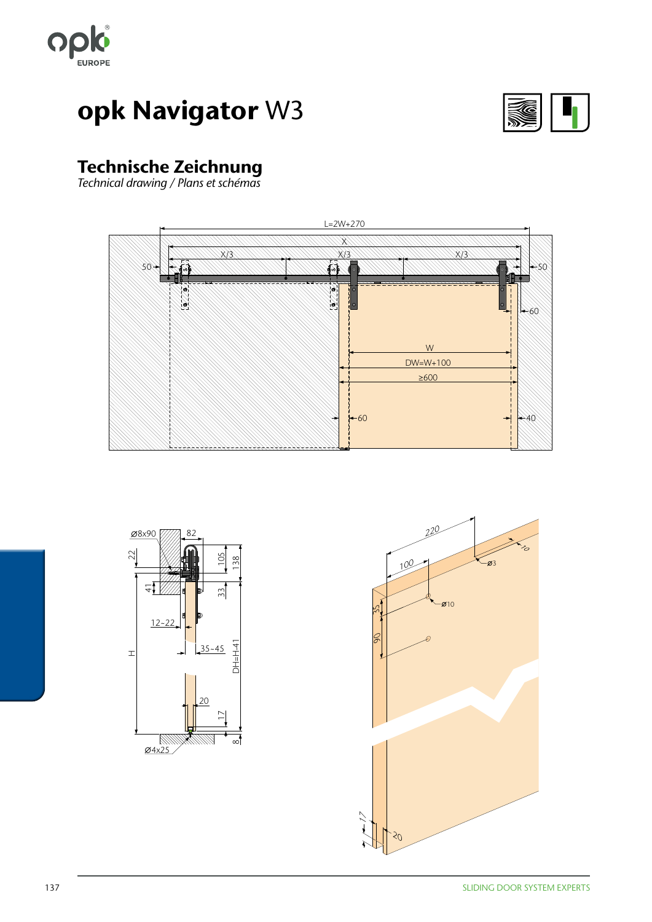



### Technische Zeichnung

*Technical drawing / Plans et schémas*





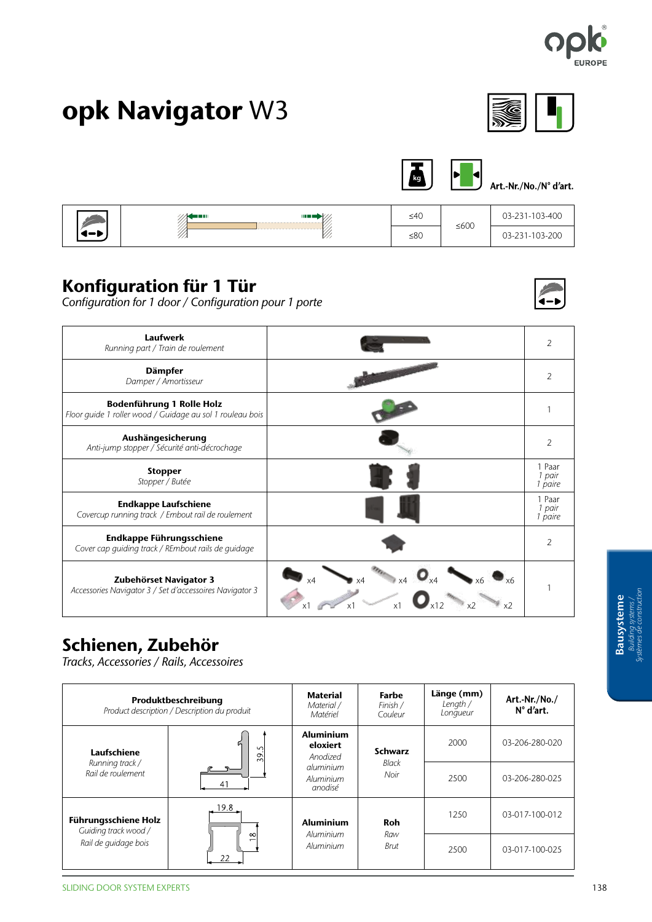





Art.-Nr./No./N° d'art.

4-)

| in va        | <b>THE OR</b> | ≤40 |        | 03-231-103-400 |
|--------------|---------------|-----|--------|----------------|
| $\leftarrow$ | $\cdots$      | ≤80 | $≤600$ | 03-231-103-200 |

### Konfiguration für 1 Tür

*Configuration for 1 door / Configuration pour 1 porte*



### Schienen, Zubehör

*Tracks, Accessories / Rails, Accessoires*

| Produktbeschreibung<br>Product description / Description du produit |                                 | <b>Material</b><br>Material /<br>Matériel | Farbe<br>Finish /<br>Couleur           | Länge (mm)<br>Length $/$<br>Longueur | Art.-Nr./No./<br>$N^{\circ}$ d'art. |
|---------------------------------------------------------------------|---------------------------------|-------------------------------------------|----------------------------------------|--------------------------------------|-------------------------------------|
| Laufschiene                                                         | r.<br>$\sim$<br>$\overline{39}$ | <b>Aluminium</b><br>eloxiert<br>Anodized  | <b>Schwarz</b><br><b>Black</b><br>Noir | 2000                                 | 03-206-280-020                      |
| Running track /<br>Rail de roulement                                |                                 | aluminium<br>Aluminium<br>anodisé         |                                        | 2500                                 | 03-206-280-025                      |
| <b>Führungsschiene Holz</b><br>Guiding track wood /                 | 19.8                            | <b>Aluminium</b>                          | Roh                                    | 1250                                 | 03-017-100-012                      |
| Rail de quidage bois                                                | $\infty$<br>22                  | Aluminium<br>Aluminium                    | Raw<br>Brut                            | 2500                                 | 03-017-100-025                      |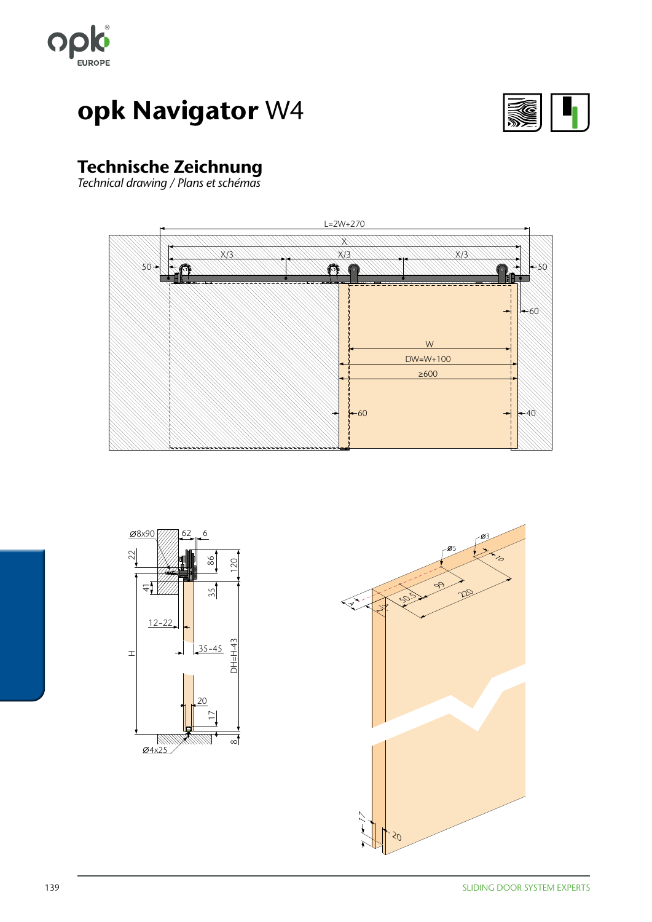



### Technische Zeichnung

*Technical drawing / Plans et schémas*